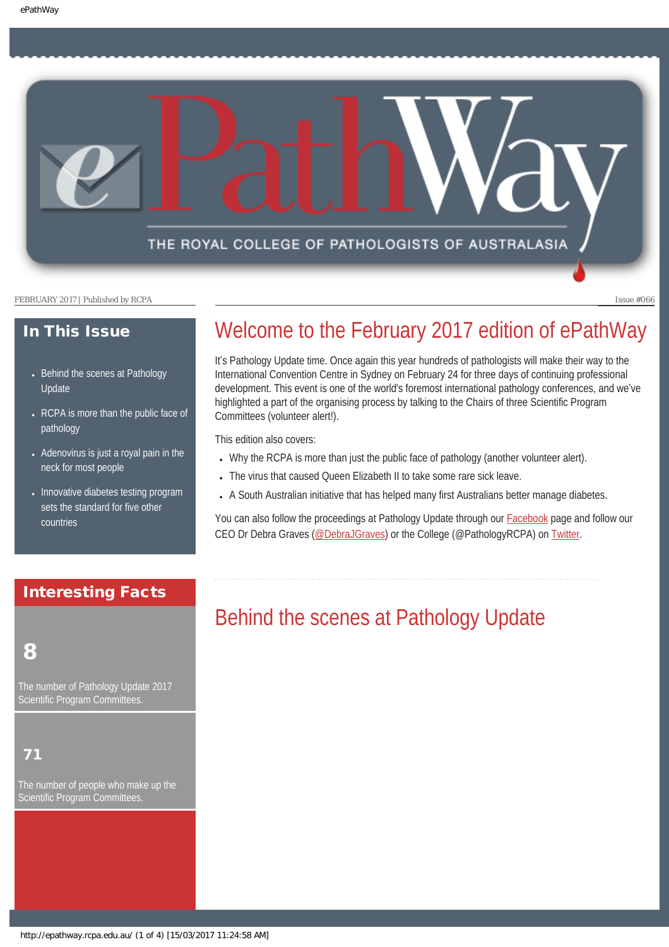THE ROYAL COLLEGE OF PATHOLOGISTS OF AUSTRALASIA

FEBRUARY 2017 | Published by RCPA **Issue #066** 

## In This Issue

- [Behind the scenes at Pathology](#page-0-0) [Update](#page-0-0)
- RCPA is more than the public face of [pathology](#page-1-0)
- Adenovirus is just a royal pain in the [neck for most people](#page-2-0)
- [Innovative diabetes testing program](#page-2-1) [sets the standard for five other](#page-2-1)  [countries](#page-2-1)

## <span id="page-0-0"></span>Interesting Facts

## 8

The number of Pathology Update 2017 Scientific Program Committees

## 71

The number of people who make up the Scientific Program Committees.

# Welcome to the February 2017 edition of ePathWay

It's Pathology Update time. Once again this year hundreds of pathologists will make their way to the International Convention Centre in Sydney on February 24 for three days of continuing professional development. This event is one of the world's foremost international pathology conferences, and we've highlighted a part of the organising process by talking to the Chairs of three Scientific Program Committees (volunteer alert!).

This edition also covers:

- Why the RCPA is more than just the public face of pathology (another volunteer alert).
- The virus that caused Queen Elizabeth II to take some rare sick leave.
- A South Australian initiative that has helped many first Australians better manage diabetes.

You can also follow the proceedings at Pathology Update through our [Facebook](https://www.facebook.com/TheRoyalCollegeOfPathologistsOfAustralasia/) page and follow our CEO Dr Debra Graves [\(@DebraJGraves](https://twitter.com/search?q=%40debrajgraves&src=typd)) or the College (@PathologyRCPA) on [Twitter.](https://twitter.com/pathologyrcpa)

# Behind the scenes at Pathology Update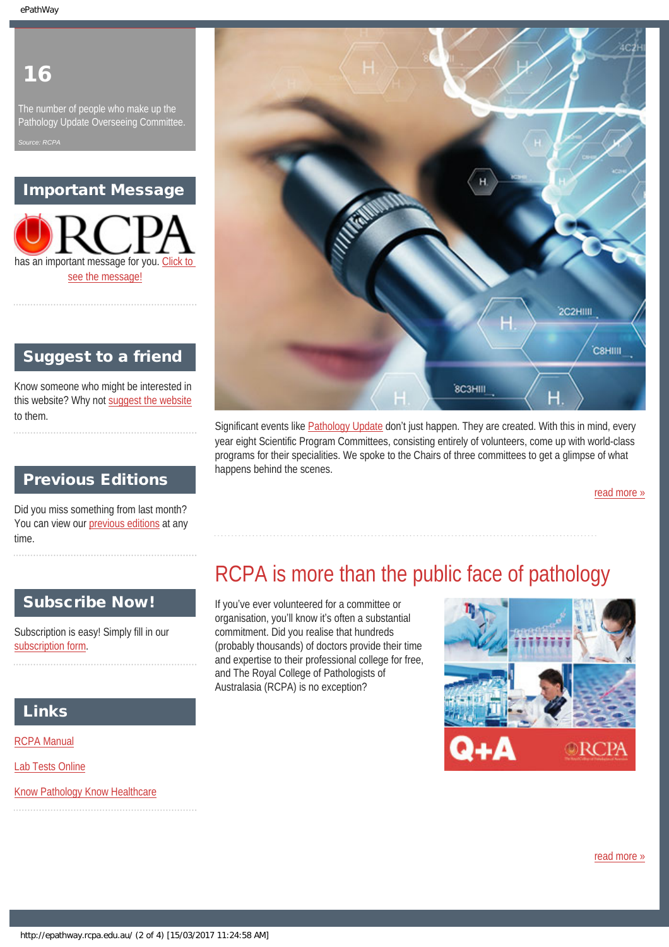# 16

The number of people who make up the Pathology Update Overseeing Committee. *Source: RCPA*

## Important Message



## Suggest to a friend

Know someone who might be interested in this website? Why not [suggest the website](mailto:?Subject=I%20think%20you%20should%20read%20this%20Newsletter=
http://epathway.rcpa.edu.au/index.html) to them.

## Previous Editions

Did you miss something from last month? You can view our [previous editions](#page-4-0) at any time.

# 2C2HIIII **CSHIIII** 8C3HIII

Significant events like [Pathology Update](http://www.rcpa.edu.au/getattachment/2bd1cae8-523f-479f-baab-2043de2fa02c/Pathology-Update-2017-Registraton-and-Preliminary.aspx) don't just happen. They are created. With this in mind, every year eight Scientific Program Committees, consisting entirely of volunteers, come up with world-class programs for their specialities. We spoke to the Chairs of three committees to get a glimpse of what happens behind the scenes.

RCPA is more than the public face of pathology

organisation, you'll know it's often a substantial commitment. Did you realise that hundreds

and The Royal College of Pathologists of Australasia (RCPA) is no exception?

[read more »](#page-6-0)

#### <span id="page-1-0"></span>Subscribe Now! If you've ever volunteered for a committee or

Subscription is easy! Simply fill in our [subscription form](http://epathway.rcpa.edu.au/subscription.html).

## Links

[RCPA Manual](http://rcpamanual.edu.au/)

[Lab Tests Online](http://www.labtestsonline.org.au/)

[Know Pathology Know Healthcare](http://knowpathology.com.au/)

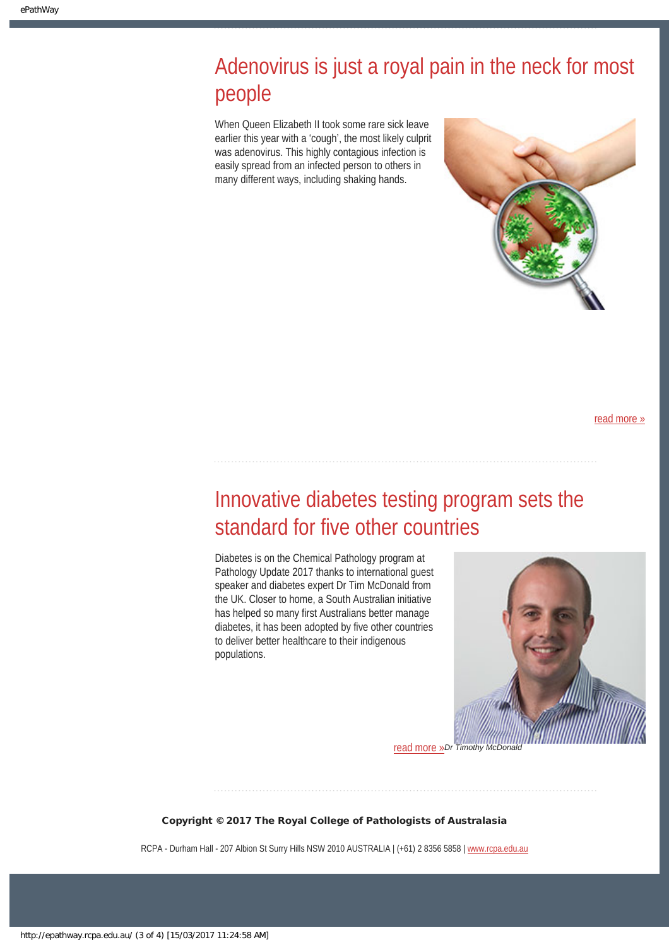# <span id="page-2-0"></span>Adenovirus is just a royal pain in the neck for most people

When Queen Elizabeth II took some rare sick leave earlier this year with a 'cough', the most likely culprit was adenovirus. This highly contagious infection is easily spread from an infected person to others in many different ways, including shaking hands.



[read more »](#page-10-0)

# <span id="page-2-1"></span>Innovative diabetes testing program sets the standard for five other countries

Diabetes is on the Chemical Pathology program at Pathology Update 2017 thanks to international guest speaker and diabetes expert Dr Tim McDonald from the UK. Closer to home, a South Australian initiative has helped so many first Australians better manage diabetes, it has been adopted by five other countries to deliver better healthcare to their indigenous populations.



*Dr Timothy McDonald* [read more »](#page-12-0)

Copyright © 2017 The Royal College of Pathologists of Australasia

RCPA - Durham Hall - 207 Albion St Surry Hills NSW 2010 AUSTRALIA | (+61) 2 8356 5858 | [www.rcpa.edu.au](https://www.rcpa.edu.au/)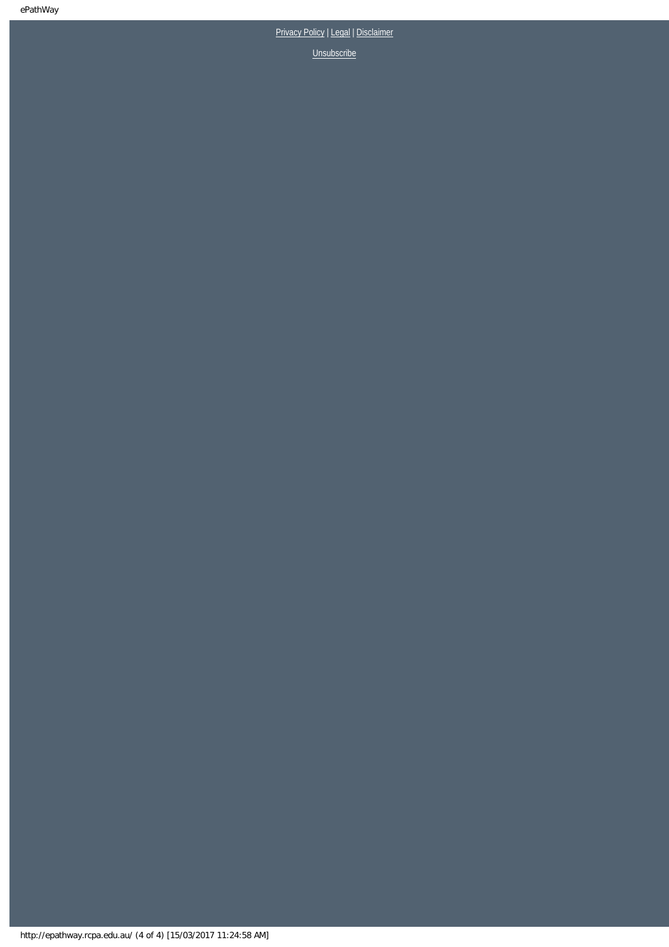## [Privacy Policy](https://www.rcpa.edu.au/Privacy-Policy.aspx) | [Legal](https://www.rcpa.edu.au/Legal.aspx) | Disclaimer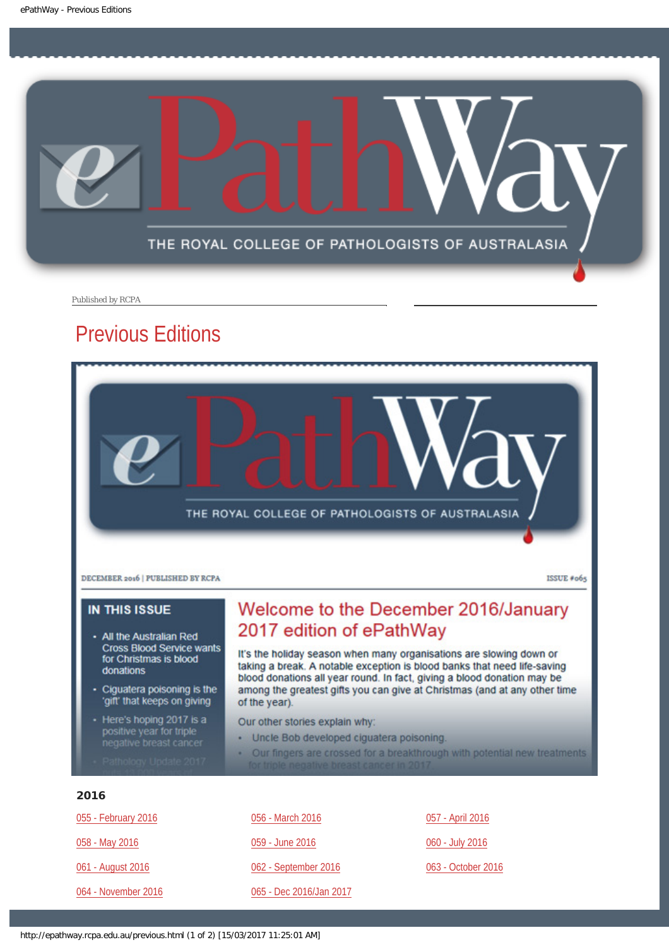<span id="page-4-0"></span>

Published by RCPA

## Previous Editions



#### **IN THIS ISSUE**

- All the Australian Red **Cross Blood Service wants** for Christmas is blood donations
- Ciguatera poisoning is the 'gift' that keeps on giving
- Here's hoping 2017 is a positive year for triple<br>negative breast cancer
- 

## Welcome to the December 2016/January 2017 edition of ePathWay

It's the holiday season when many organisations are slowing down or taking a break. A notable exception is blood banks that need life-saving blood donations all year round. In fact, giving a blood donation may be among the greatest gifts you can give at Christmas (and at any other time of the year).

Our other stories explain why:

- Uncle Bob developed ciguatera poisoning.
- Our fingers are crossed for a breakthrough with potential new treatments

#### 2016

| 055 - February 2016 | 056 - March 2016        | 057 - April 2016   |
|---------------------|-------------------------|--------------------|
| 058 - May 2016      | 059 - June 2016         | 060 - July 2016    |
| 061 - August 2016   | 062 - September 2016    | 063 - October 2016 |
| 064 - November 2016 | 065 - Dec 2016/Jan 2017 |                    |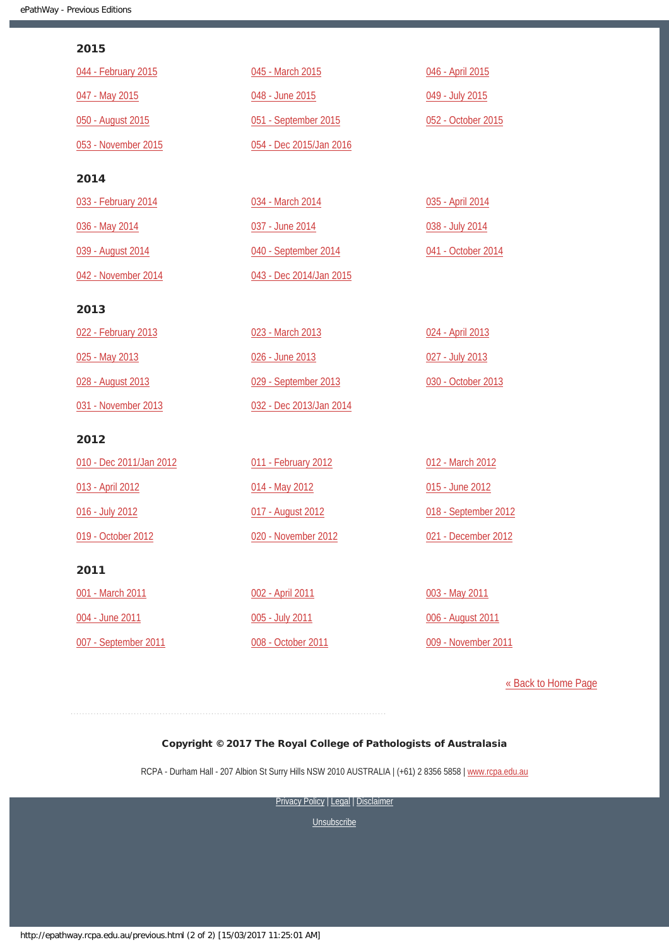#### 2015

| 044 - February 2015     | 045 - March 2015        | 046 - April 2015     |
|-------------------------|-------------------------|----------------------|
| 047 - May 2015          | 048 - June 2015         | 049 - July 2015      |
| 050 - August 2015       | 051 - September 2015    | 052 - October 2015   |
| 053 - November 2015     | 054 - Dec 2015/Jan 2016 |                      |
| 2014                    |                         |                      |
| 033 - February 2014     | 034 - March 2014        | 035 - April 2014     |
| 036 - May 2014          | 037 - June 2014         | 038 - July 2014      |
| 039 - August 2014       | 040 - September 2014    | 041 - October 2014   |
| 042 - November 2014     | 043 - Dec 2014/Jan 2015 |                      |
| 2013                    |                         |                      |
| 022 - February 2013     | 023 - March 2013        | 024 - April 2013     |
| 025 - May 2013          | 026 - June 2013         | 027 - July 2013      |
| 028 - August 2013       | 029 - September 2013    | 030 - October 2013   |
| 031 - November 2013     | 032 - Dec 2013/Jan 2014 |                      |
| 2012                    |                         |                      |
| 010 - Dec 2011/Jan 2012 | 011 - February 2012     | 012 - March 2012     |
| 013 - April 2012        | 014 - May 2012          | 015 - June 2012      |
| 016 - July 2012         | 017 - August 2012       | 018 - September 2012 |
| 019 - October 2012      | 020 - November 2012     | 021 - December 2012  |
| 2011                    |                         |                      |
| 001 - March 2011        | 002 - April 2011        | 003 - May 2011       |
| 004 - June 2011         | 005 - July 2011         | 006 - August 2011    |
| 007 - September 2011    | 008 - October 2011      | 009 - November 2011  |

[« Back to Home Page](http://epathway.rcpa.edu.au/index.html)

#### Copyright © 2017 The Royal College of Pathologists of Australasia

RCPA - Durham Hall - 207 Albion St Surry Hills NSW 2010 AUSTRALIA | (+61) 2 8356 5858 | [www.rcpa.edu.au](https://www.rcpa.edu.au/)

[Privacy Policy](https://www.rcpa.edu.au/Content-Library/Privacy.aspx) | [Legal](https://www.rcpa.edu.au/Legal.aspx) | Disclaimer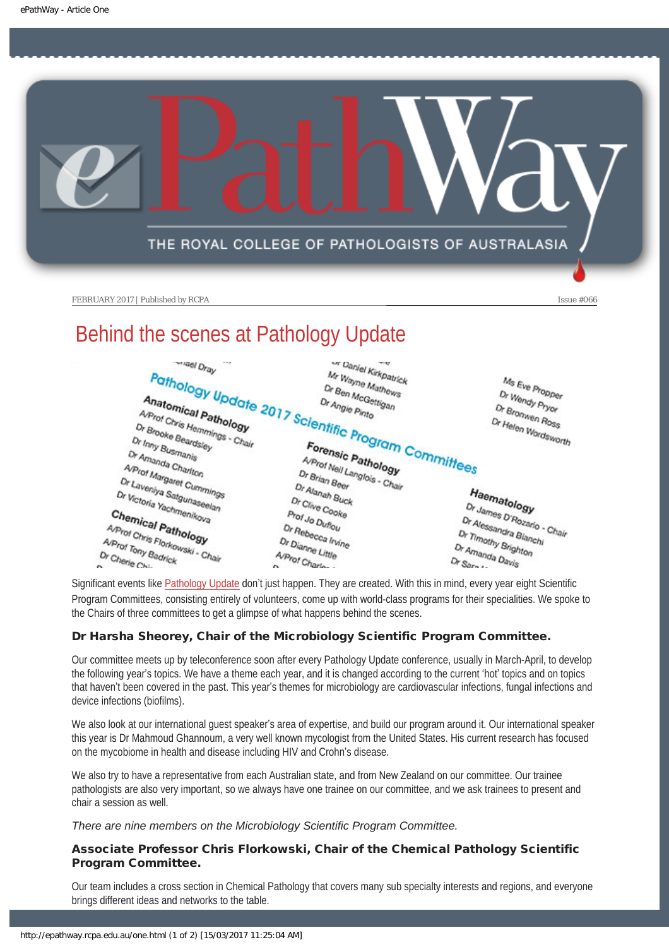<span id="page-6-0"></span>

# Behind the scenes at Pathology Update



Significant events like [Pathology Update](http://www.rcpa.edu.au/getattachment/2bd1cae8-523f-479f-baab-2043de2fa02c/Pathology-Update-2017-Registraton-and-Preliminary.aspx) don't just happen. They are created. With this in mind, every year eight Scientific Program Committees, consisting entirely of volunteers, come up with world-class programs for their specialities. We spoke to the Chairs of three committees to get a glimpse of what happens behind the scenes.

### Dr Harsha Sheorey, Chair of the Microbiology Scientific Program Committee.

Our committee meets up by teleconference soon after every Pathology Update conference, usually in March-April, to develop the following year's topics. We have a theme each year, and it is changed according to the current 'hot' topics and on topics that haven't been covered in the past. This year's themes for microbiology are cardiovascular infections, fungal infections and device infections (biofilms).

We also look at our international guest speaker's area of expertise, and build our program around it. Our international speaker this year is Dr Mahmoud Ghannoum, a very well known mycologist from the United States. His current research has focused on the mycobiome in health and disease including HIV and Crohn's disease.

We also try to have a representative from each Australian state, and from New Zealand on our committee. Our trainee pathologists are also very important, so we always have one trainee on our committee, and we ask trainees to present and chair a session as well.

*There are nine members on the Microbiology Scientific Program Committee.*

#### Associate Professor Chris Florkowski, Chair of the Chemical Pathology Scientific Program Committee.

Our team includes a cross section in Chemical Pathology that covers many sub specialty interests and regions, and everyone brings different ideas and networks to the table.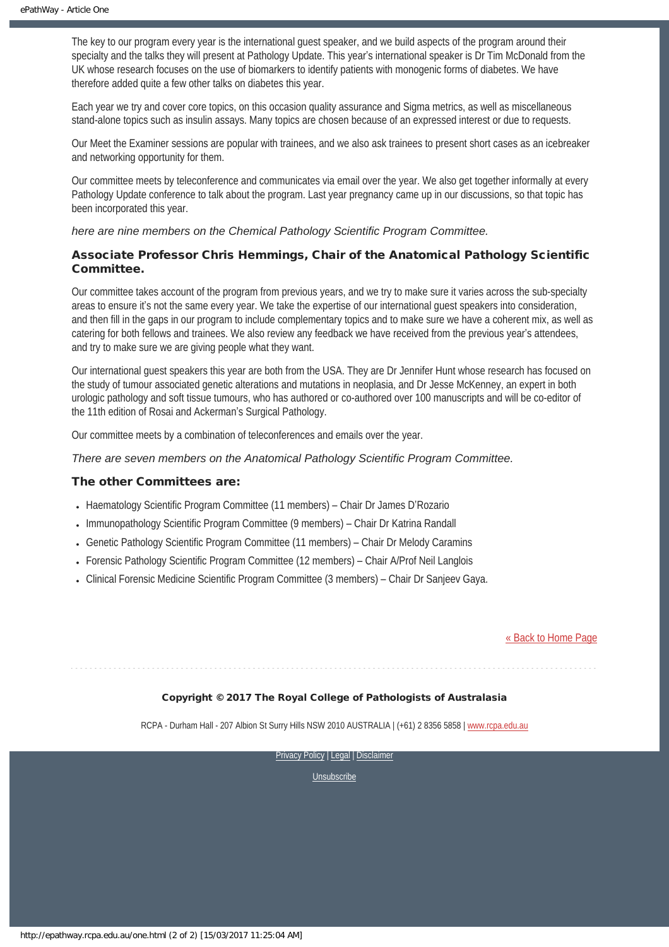The key to our program every year is the international guest speaker, and we build aspects of the program around their specialty and the talks they will present at Pathology Update. This year's international speaker is Dr Tim McDonald from the UK whose research focuses on the use of biomarkers to identify patients with monogenic forms of diabetes. We have therefore added quite a few other talks on diabetes this year.

Each year we try and cover core topics, on this occasion quality assurance and Sigma metrics, as well as miscellaneous stand-alone topics such as insulin assays. Many topics are chosen because of an expressed interest or due to requests.

Our Meet the Examiner sessions are popular with trainees, and we also ask trainees to present short cases as an icebreaker and networking opportunity for them.

Our committee meets by teleconference and communicates via email over the year. We also get together informally at every Pathology Update conference to talk about the program. Last year pregnancy came up in our discussions, so that topic has been incorporated this year.

*here are nine members on the Chemical Pathology Scientific Program Committee.*

#### Associate Professor Chris Hemmings, Chair of the Anatomical Pathology Scientific Committee.

Our committee takes account of the program from previous years, and we try to make sure it varies across the sub-specialty areas to ensure it's not the same every year. We take the expertise of our international guest speakers into consideration, and then fill in the gaps in our program to include complementary topics and to make sure we have a coherent mix, as well as catering for both fellows and trainees. We also review any feedback we have received from the previous year's attendees, and try to make sure we are giving people what they want.

Our international guest speakers this year are both from the USA. They are Dr Jennifer Hunt whose research has focused on the study of tumour associated genetic alterations and mutations in neoplasia, and Dr Jesse McKenney, an expert in both urologic pathology and soft tissue tumours, who has authored or co-authored over 100 manuscripts and will be co-editor of the 11th edition of Rosai and Ackerman's Surgical Pathology.

Our committee meets by a combination of teleconferences and emails over the year.

#### *There are seven members on the Anatomical Pathology Scientific Program Committee.*

#### The other Committees are:

- Haematology Scientific Program Committee (11 members) Chair Dr James D'Rozario
- Immunopathology Scientific Program Committee (9 members) Chair Dr Katrina Randall
- Genetic Pathology Scientific Program Committee (11 members) Chair Dr Melody Caramins
- Forensic Pathology Scientific Program Committee (12 members) Chair A/Prof Neil Langlois
- Clinical Forensic Medicine Scientific Program Committee (3 members) Chair Dr Sanjeev Gaya.

#### [« Back to Home Page](http://epathway.rcpa.edu.au/index.html)

#### Copyright © 2017 The Royal College of Pathologists of Australasia

RCPA - Durham Hall - 207 Albion St Surry Hills NSW 2010 AUSTRALIA | (+61) 2 8356 5858 | [www.rcpa.edu.au](https://www.rcpa.edu.au/)

[Privacy Policy](https://www.rcpa.edu.au/Content-Library/Privacy.aspx) | [Legal](https://www.rcpa.edu.au/Legal.aspx) | Disclaimer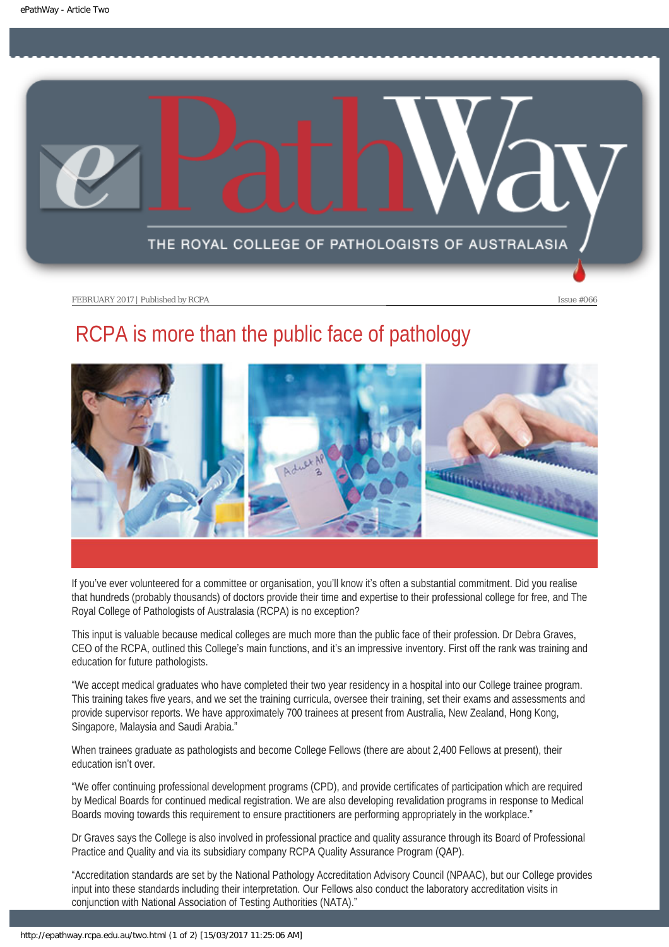<span id="page-8-0"></span>

# RCPA is more than the public face of pathology



If you've ever volunteered for a committee or organisation, you'll know it's often a substantial commitment. Did you realise that hundreds (probably thousands) of doctors provide their time and expertise to their professional college for free, and The Royal College of Pathologists of Australasia (RCPA) is no exception?

This input is valuable because medical colleges are much more than the public face of their profession. Dr Debra Graves, CEO of the RCPA, outlined this College's main functions, and it's an impressive inventory. First off the rank was training and education for future pathologists.

"We accept medical graduates who have completed their two year residency in a hospital into our College trainee program. This training takes five years, and we set the training curricula, oversee their training, set their exams and assessments and provide supervisor reports. We have approximately 700 trainees at present from Australia, New Zealand, Hong Kong, Singapore, Malaysia and Saudi Arabia."

When trainees graduate as pathologists and become College Fellows (there are about 2,400 Fellows at present), their education isn't over.

"We offer continuing professional development programs (CPD), and provide certificates of participation which are required by Medical Boards for continued medical registration. We are also developing revalidation programs in response to Medical Boards moving towards this requirement to ensure practitioners are performing appropriately in the workplace."

Dr Graves says the College is also involved in professional practice and quality assurance through its Board of Professional Practice and Quality and via its subsidiary company RCPA Quality Assurance Program (QAP).

"Accreditation standards are set by the National Pathology Accreditation Advisory Council (NPAAC), but our College provides input into these standards including their interpretation. Our Fellows also conduct the laboratory accreditation visits in conjunction with National Association of Testing Authorities (NATA)."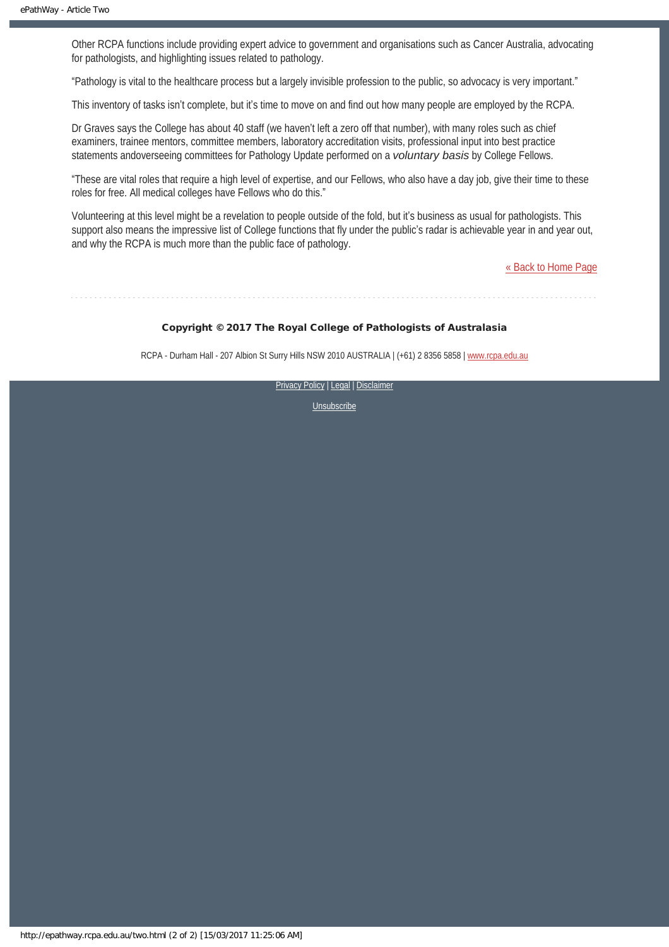Other RCPA functions include providing expert advice to government and organisations such as Cancer Australia, advocating for pathologists, and highlighting issues related to pathology.

"Pathology is vital to the healthcare process but a largely invisible profession to the public, so advocacy is very important."

This inventory of tasks isn't complete, but it's time to move on and find out how many people are employed by the RCPA.

Dr Graves says the College has about 40 staff (we haven't left a zero off that number), with many roles such as chief examiners, trainee mentors, committee members, laboratory accreditation visits, professional input into best practice statements andoverseeing committees for Pathology Update performed on a *voluntary basis* by College Fellows.

"These are vital roles that require a high level of expertise, and our Fellows, who also have a day job, give their time to these roles for free. All medical colleges have Fellows who do this."

Volunteering at this level might be a revelation to people outside of the fold, but it's business as usual for pathologists. This support also means the impressive list of College functions that fly under the public's radar is achievable year in and year out, and why the RCPA is much more than the public face of pathology.

[« Back to Home Page](http://epathway.rcpa.edu.au/index.html)

Copyright © 2017 The Royal College of Pathologists of Australasia

RCPA - Durham Hall - 207 Albion St Surry Hills NSW 2010 AUSTRALIA | (+61) 2 8356 5858 | [www.rcpa.edu.au](https://www.rcpa.edu.au/)

[Privacy Policy](https://www.rcpa.edu.au/Content-Library/Privacy.aspx) | [Legal](https://www.rcpa.edu.au/Legal.aspx) | Disclaimer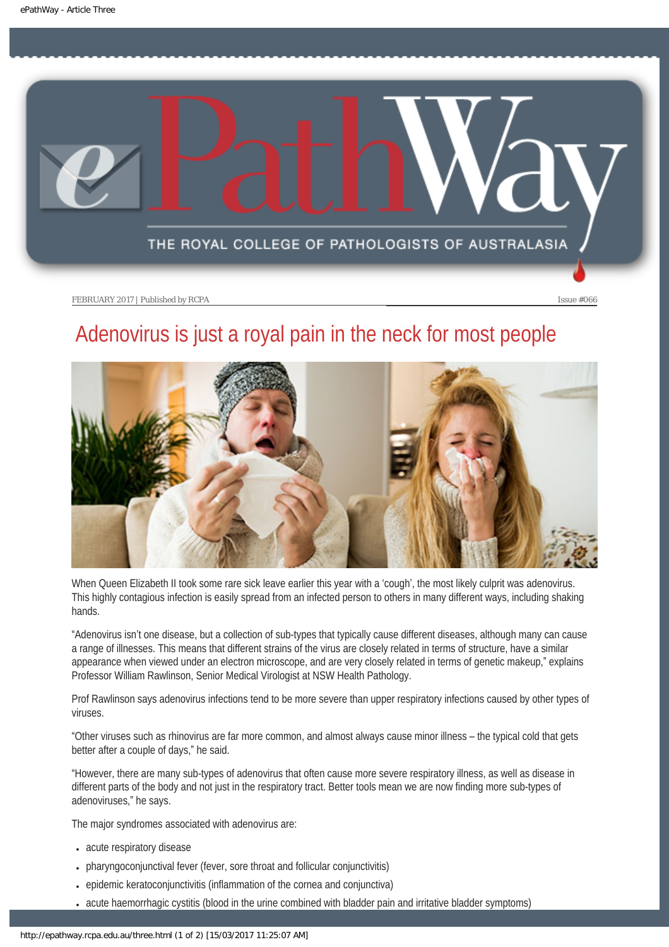<span id="page-10-0"></span>

# Adenovirus is just a royal pain in the neck for most people



When Queen Elizabeth II took some rare sick leave earlier this year with a 'cough', the most likely culprit was adenovirus. This highly contagious infection is easily spread from an infected person to others in many different ways, including shaking hands.

"Adenovirus isn't one disease, but a collection of sub-types that typically cause different diseases, although many can cause a range of illnesses. This means that different strains of the virus are closely related in terms of structure, have a similar appearance when viewed under an electron microscope, and are very closely related in terms of genetic makeup," explains Professor William Rawlinson, Senior Medical Virologist at NSW Health Pathology.

Prof Rawlinson says adenovirus infections tend to be more severe than upper respiratory infections caused by other types of viruses.

"Other viruses such as rhinovirus are far more common, and almost always cause minor illness – the typical cold that gets better after a couple of days," he said.

"However, there are many sub-types of adenovirus that often cause more severe respiratory illness, as well as disease in different parts of the body and not just in the respiratory tract. Better tools mean we are now finding more sub-types of adenoviruses," he says.

The major syndromes associated with adenovirus are:

- acute respiratory disease
- pharyngoconjunctival fever (fever, sore throat and follicular conjunctivitis)
- epidemic keratoconjunctivitis (inflammation of the cornea and conjunctiva)
- acute haemorrhagic cystitis (blood in the urine combined with bladder pain and irritative bladder symptoms)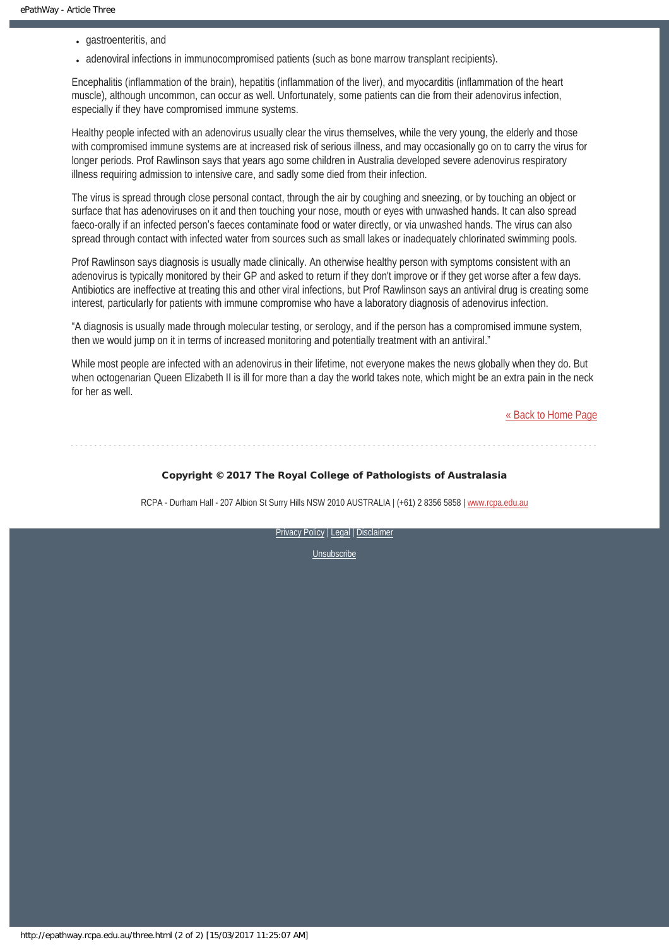- gastroenteritis, and
- adenoviral infections in immunocompromised patients (such as bone marrow transplant recipients).

Encephalitis (inflammation of the brain), hepatitis (inflammation of the liver), and myocarditis (inflammation of the heart muscle), although uncommon, can occur as well. Unfortunately, some patients can die from their adenovirus infection, especially if they have compromised immune systems.

Healthy people infected with an adenovirus usually clear the virus themselves, while the very young, the elderly and those with compromised immune systems are at increased risk of serious illness, and may occasionally go on to carry the virus for longer periods. Prof Rawlinson says that years ago some children in Australia developed severe adenovirus respiratory illness requiring admission to intensive care, and sadly some died from their infection.

The virus is spread through close personal contact, through the air by coughing and sneezing, or by touching an object or surface that has adenoviruses on it and then touching your nose, mouth or eyes with unwashed hands. It can also spread faeco-orally if an infected person's faeces contaminate food or water directly, or via unwashed hands. The virus can also spread through contact with infected water from sources such as small lakes or inadequately chlorinated swimming pools.

Prof Rawlinson says diagnosis is usually made clinically. An otherwise healthy person with symptoms consistent with an adenovirus is typically monitored by their GP and asked to return if they don't improve or if they get worse after a few days. Antibiotics are ineffective at treating this and other viral infections, but Prof Rawlinson says an antiviral drug is creating some interest, particularly for patients with immune compromise who have a laboratory diagnosis of adenovirus infection.

"A diagnosis is usually made through molecular testing, or serology, and if the person has a compromised immune system, then we would jump on it in terms of increased monitoring and potentially treatment with an antiviral."

While most people are infected with an adenovirus in their lifetime, not everyone makes the news globally when they do. But when octogenarian Queen Elizabeth II is ill for more than a day the world takes note, which might be an extra pain in the neck for her as well.

[« Back to Home Page](http://epathway.rcpa.edu.au/index.html)

#### Copyright © 2017 The Royal College of Pathologists of Australasia

RCPA - Durham Hall - 207 Albion St Surry Hills NSW 2010 AUSTRALIA | (+61) 2 8356 5858 | [www.rcpa.edu.au](https://www.rcpa.edu.au/)

[Privacy Policy](https://www.rcpa.edu.au/Content-Library/Privacy.aspx) | [Legal](https://www.rcpa.edu.au/Legal.aspx) | Disclaimer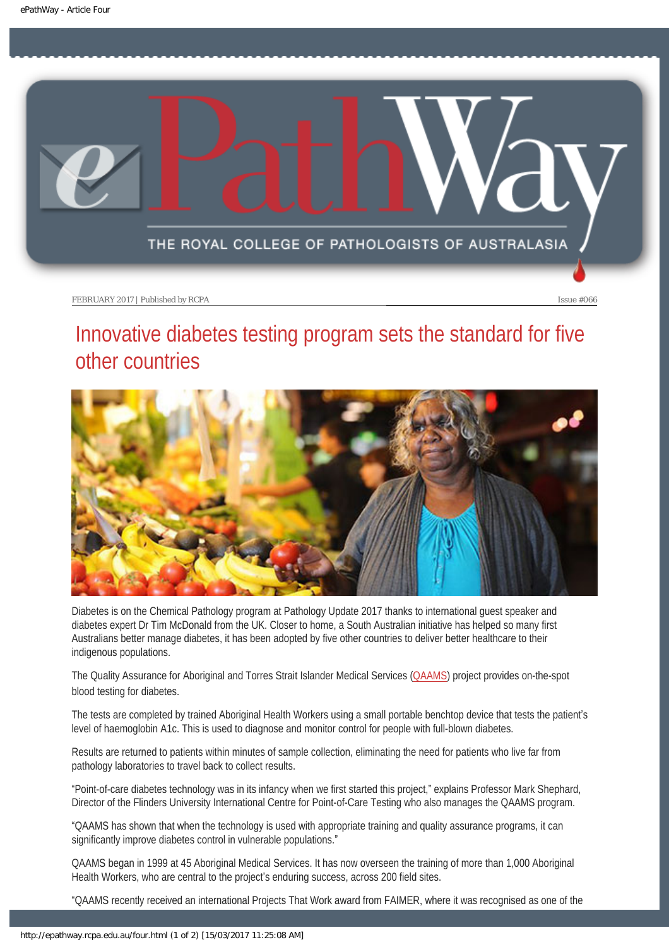<span id="page-12-0"></span>

# Innovative diabetes testing program sets the standard for five other countries



Diabetes is on the Chemical Pathology program at Pathology Update 2017 thanks to international guest speaker and diabetes expert Dr Tim McDonald from the UK. Closer to home, a South Australian initiative has helped so many first Australians better manage diabetes, it has been adopted by five other countries to deliver better healthcare to their indigenous populations.

The Quality Assurance for Aboriginal and Torres Strait Islander Medical Services [\(QAAMS\)](http://www.qaams.org.au/) project provides on-the-spot blood testing for diabetes.

The tests are completed by trained Aboriginal Health Workers using a small portable benchtop device that tests the patient's level of haemoglobin A1c. This is used to diagnose and monitor control for people with full-blown diabetes.

Results are returned to patients within minutes of sample collection, eliminating the need for patients who live far from pathology laboratories to travel back to collect results.

"Point-of-care diabetes technology was in its infancy when we first started this project," explains Professor Mark Shephard, Director of the Flinders University International Centre for Point-of-Care Testing who also manages the QAAMS program.

"QAAMS has shown that when the technology is used with appropriate training and quality assurance programs, it can significantly improve diabetes control in vulnerable populations."

QAAMS began in 1999 at 45 Aboriginal Medical Services. It has now overseen the training of more than 1,000 Aboriginal Health Workers, who are central to the project's enduring success, across 200 field sites.

"QAAMS recently received an international Projects That Work award from FAIMER, where it was recognised as one of the